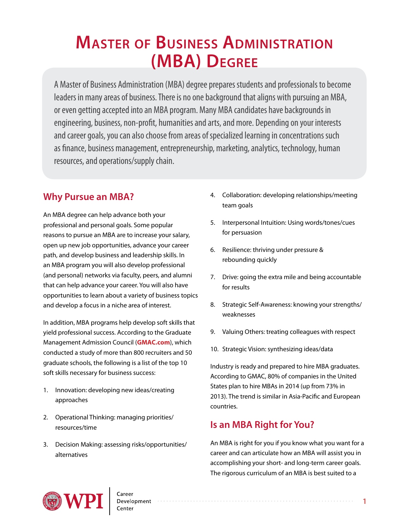# **Master of Business Administration (MBA) Degree**

A Master of Business Administration (MBA) degree prepares students and professionals to become leaders in many areas of business. There is no one background that aligns with pursuing an MBA, or even getting accepted into an MBA program. Many MBA candidates have backgrounds in engineering, business, non-profit, humanities and arts, and more. Depending on your interests and career goals, you can also choose from areas of specialized learning in concentrations such as finance, business management, entrepreneurship, marketing, analytics, technology, human resources, and operations/supply chain.

# **Why Pursue an MBA?**

An MBA degree can help advance both your professional and personal goals. Some popular reasons to pursue an MBA are to increase your salary, open up new job opportunities, advance your career path, and develop business and leadership skills. In an MBA program you will also develop professional (and personal) networks via faculty, peers, and alumni that can help advance your career. You will also have opportunities to learn about a variety of business topics and develop a focus in a niche area of interest.

In addition, MBA programs help develop soft skills that yield professional success. According to the Graduate Management Admission Council (**[GMAC.com](gmac.com)**), which conducted a study of more than 800 recruiters and 50 graduate schools, the following is a list of the top 10 soft skills necessary for business success:

- 1. Innovation: developing new ideas/creating approaches
- 2. Operational Thinking: managing priorities/ resources/time
- 3. Decision Making: assessing risks/opportunities/ alternatives
- 4. Collaboration: developing relationships/meeting team goals
- 5. Interpersonal Intuition: Using words/tones/cues for persuasion
- 6. Resilience: thriving under pressure & rebounding quickly
- 7. Drive: going the extra mile and being accountable for results
- 8. Strategic Self-Awareness: knowing your strengths/ weaknesses
- 9. Valuing Others: treating colleagues with respect
- 10. Strategic Vision: synthesizing ideas/data

Industry is ready and prepared to hire MBA graduates. According to GMAC, 80% of companies in the United States plan to hire MBAs in 2014 (up from 73% in 2013). The trend is similar in Asia-Pacific and European countries.

# **Is an MBA Right for You?**

An MBA is right for you if you know what you want for a career and can articulate how an MBA will assist you in accomplishing your short- and long-term career goals. The rigorous curriculum of an MBA is best suited to a

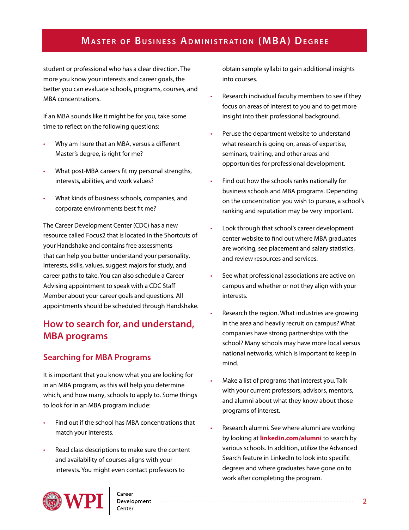student or professional who has a clear direction. The more you know your interests and career goals, the better you can evaluate schools, programs, courses, and MBA concentrations.

If an MBA sounds like it might be for you, take some time to reflect on the following questions:

- Why am I sure that an MBA, versus a different Master's degree, is right for me?
- What post-MBA careers fit my personal strengths, interests, abilities, and work values?
- What kinds of business schools, companies, and corporate environments best fit me?

The Career Development Center (CDC) has a new resource called Focus2 that is located in the Shortcuts of your Handshake and contains free assessments that can help you better understand your personality, interests, skills, values, suggest majors for study, and career paths to take. You can also schedule a Career Advising appointment to speak with a CDC Staff Member about your career goals and questions. All appointments should be scheduled through Handshake.

# **How to search for, and understand, MBA programs**

#### **Searching for MBA Programs**

It is important that you know what you are looking for in an MBA program, as this will help you determine which, and how many, schools to apply to. Some things to look for in an MBA program include:

- Find out if the school has MBA concentrations that match your interests.
- Read class descriptions to make sure the content and availability of courses aligns with your interests. You might even contact professors to



obtain sample syllabi to gain additional insights into courses.

- Research individual faculty members to see if they focus on areas of interest to you and to get more insight into their professional background.
- Peruse the department website to understand what research is going on, areas of expertise, seminars, training, and other areas and opportunities for professional development.
- Find out how the schools ranks nationally for business schools and MBA programs. Depending on the concentration you wish to pursue, a school's ranking and reputation may be very important.
- Look through that school's career development center website to find out where MBA graduates are working, see placement and salary statistics, and review resources and services.
- See what professional associations are active on campus and whether or not they align with your interests.
- Research the region. What industries are growing in the area and heavily recruit on campus? What companies have strong partnerships with the school? Many schools may have more local versus national networks, which is important to keep in mind.
- Make a list of programs that interest you. Talk with your current professors, advisors, mentors, and alumni about what they know about those programs of interest.
- Research alumni. See where alumni are working by looking at **<linkedin.com/alumni>** to search by various schools. In addition, utilize the Advanced Search feature in LinkedIn to look into specific degrees and where graduates have gone on to work after completing the program.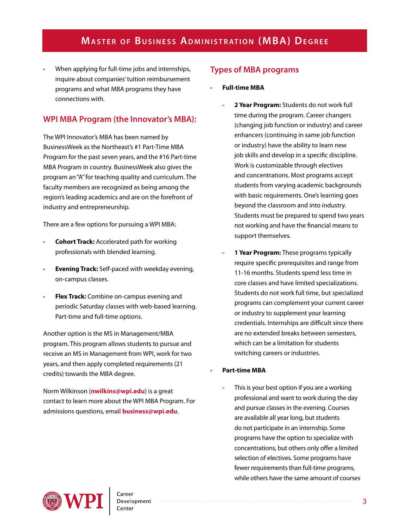• When applying for full-time jobs and internships, inquire about companies' tuition reimbursement programs and what MBA programs they have connections with.

### **WPI MBA Program (the Innovator's MBA):**

The WPI Innovator's MBA has been named by BusinessWeek as the Northeast's #1 Part-Time MBA Program for the past seven years, and the #16 Part-time MBA Program in country. BusinessWeek also gives the program an "A" for teaching quality and curriculum. The faculty members are recognized as being among the region's leading academics and are on the forefront of industry and entrepreneurship.

There are a few options for pursuing a WPI MBA:

- **Cohort Track:** Accelerated path for working professionals with blended learning.
- **Evening Track:** Self-paced with weekday evening, on-campus classes.
- **Flex Track:** Combine on-campus evening and periodic Saturday classes with web-based learning. Part-time and full-time options.

Another option is the MS in Management/MBA program. This program allows students to pursue and receive an MS in Management from WPI, work for two years, and then apply completed requirements (21 credits) towards the MBA degree.

Norm Wilkinson (**[nwilkins@wpi.edu](mailto:nwilkins%40wpi.edu?subject=WPI%20MBA%20Program)**) is a great contact to learn more about the WPI MBA Program. For admissions questions, email **[business@wpi.edu](mailto:business%40wpi.edu?subject=WPI%20MBI%20Program)**.

### **Types of MBA programs**

- **Full-time MBA**
	- **- 2 Year Program:** Students do not work full time during the program. Career changers (changing job function or industry) and career enhancers (continuing in same job function or industry) have the ability to learn new job skills and develop in a specific discipline. Work is customizable through electives and concentrations. Most programs accept students from varying academic backgrounds with basic requirements. One's learning goes beyond the classroom and into industry. Students must be prepared to spend two years not working and have the financial means to support themselves.
	- **- 1 Year Program:** These programs typically require specific prerequisites and range from 11-16 months. Students spend less time in core classes and have limited specializations. Students do not work full time, but specialized programs can complement your current career or industry to supplement your learning credentials. Internships are difficult since there are no extended breaks between semesters, which can be a limitation for students switching careers or industries.

#### • **Part-time MBA**

**-** This is your best option if you are a working professional and want to work during the day and pursue classes in the evening. Courses are available all year long, but students do not participate in an internship. Some programs have the option to specialize with concentrations, but others only offer a limited selection of electives. Some programs have fewer requirements than full-time programs, while others have the same amount of courses

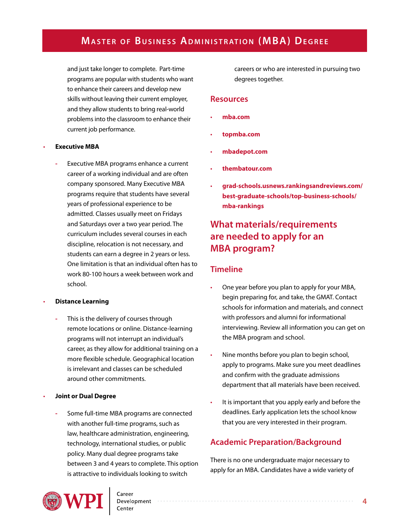and just take longer to complete. Part-time programs are popular with students who want to enhance their careers and develop new skills without leaving their current employer, and they allow students to bring real-world problems into the classroom to enhance their current job performance.

#### • **Executive MBA**

**-** Executive MBA programs enhance a current career of a working individual and are often company sponsored. Many Executive MBA programs require that students have several years of professional experience to be admitted. Classes usually meet on Fridays and Saturdays over a two year period. The curriculum includes several courses in each discipline, relocation is not necessary, and students can earn a degree in 2 years or less. One limitation is that an individual often has to work 80-100 hours a week between work and school.

#### • **Distance Learning**

- **-** This is the delivery of courses through remote locations or online. Distance-learning programs will not interrupt an individual's career, as they allow for additional training on a more flexible schedule. Geographical location is irrelevant and classes can be scheduled around other commitments.
- **Joint or Dual Degree**
	- **-** Some full-time MBA programs are connected with another full-time programs, such as law, healthcare administration, engineering, technology, international studies, or public policy. Many dual degree programs take between 3 and 4 years to complete. This option is attractive to individuals looking to switch

careers or who are interested in pursuing two degrees together.

#### **Resources**

- **[mba.com](http://www.mba.com/us)**
- **[topmba.com](http://www.topmba.com/)**
- **[mbadepot.com](http://www.mbadepot.com/)**
- **[thembatour.com](http://thembatour.com/)**
- **[grad-schools.usnews.rankingsandreviews.com/](http://grad-schools.usnews.rankingsandreviews.com/best-graduate-schools/top-business-schools/mba-rankings) [best-graduate-schools/top-business-schools/](http://grad-schools.usnews.rankingsandreviews.com/best-graduate-schools/top-business-schools/mba-rankings) [mba-rankings](http://grad-schools.usnews.rankingsandreviews.com/best-graduate-schools/top-business-schools/mba-rankings)**

## **What materials/requirements are needed to apply for an MBA program?**

#### **Timeline**

- One year before you plan to apply for your MBA, begin preparing for, and take, the GMAT. Contact schools for information and materials, and connect with professors and alumni for informational interviewing. Review all information you can get on the MBA program and school.
- Nine months before you plan to begin school, apply to programs. Make sure you meet deadlines and confirm with the graduate admissions department that all materials have been received.
- It is important that you apply early and before the deadlines. Early application lets the school know that you are very interested in their program.

#### **Academic Preparation/Background**

There is no one undergraduate major necessary to apply for an MBA. Candidates have a wide variety of

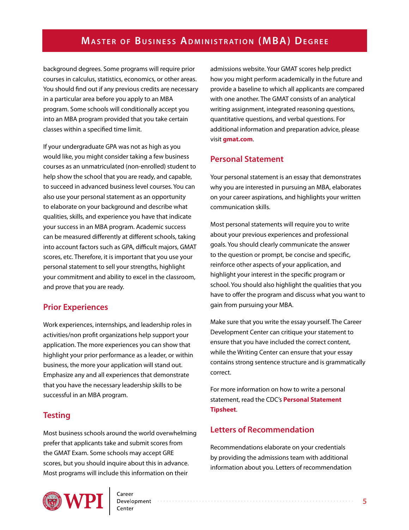background degrees. Some programs will require prior courses in calculus, statistics, economics, or other areas. You should find out if any previous credits are necessary in a particular area before you apply to an MBA program. Some schools will conditionally accept you into an MBA program provided that you take certain classes within a specified time limit.

If your undergraduate GPA was not as high as you would like, you might consider taking a few business courses as an unmatriculated (non-enrolled) student to help show the school that you are ready, and capable, to succeed in advanced business level courses. You can also use your personal statement as an opportunity to elaborate on your background and describe what qualities, skills, and experience you have that indicate your success in an MBA program. Academic success can be measured differently at different schools, taking into account factors such as GPA, difficult majors, GMAT scores, etc. Therefore, it is important that you use your personal statement to sell your strengths, highlight your commitment and ability to excel in the classroom, and prove that you are ready.

#### **Prior Experiences**

Work experiences, internships, and leadership roles in activities/non profit organizations help support your application. The more experiences you can show that highlight your prior performance as a leader, or within business, the more your application will stand out. Emphasize any and all experiences that demonstrate that you have the necessary leadership skills to be successful in an MBA program.

#### **Testing**

Most business schools around the world overwhelming prefer that applicants take and submit scores from the GMAT Exam. Some schools may accept GRE scores, but you should inquire about this in advance. Most programs will include this information on their

admissions website. Your GMAT scores help predict how you might perform academically in the future and provide a baseline to which all applicants are compared with one another. The GMAT consists of an analytical writing assignment, integrated reasoning questions, quantitative questions, and verbal questions. For additional information and preparation advice, please visit **[gmat.com](www.gmat.com)**.

### **Personal Statement**

Your personal statement is an essay that demonstrates why you are interested in pursuing an MBA, elaborates on your career aspirations, and highlights your written communication skills.

Most personal statements will require you to write about your previous experiences and professional goals. You should clearly communicate the answer to the question or prompt, be concise and specific, reinforce other aspects of your application, and highlight your interest in the specific program or school. You should also highlight the qualities that you have to offer the program and discuss what you want to gain from pursuing your MBA.

Make sure that you write the essay yourself. The Career Development Center can critique your statement to ensure that you have included the correct content, while the Writing Center can ensure that your essay contains strong sentence structure and is grammatically correct.

For more information on how to write a personal statement, read the CDC's **[Personal Statement](http://www.wpi.edu/Images/CMS/CDC/Personal-statement.pdf)  [Tipsheet](http://www.wpi.edu/Images/CMS/CDC/Personal-statement.pdf)**.

#### **Letters of Recommendation**

Recommendations elaborate on your credentials by providing the admissions team with additional information about you. Letters of recommendation

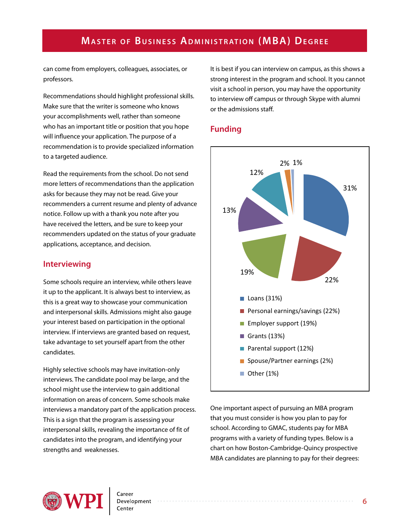can come from employers, colleagues, associates, or professors.

Recommendations should highlight professional skills. Make sure that the writer is someone who knows your accomplishments well, rather than someone who has an important title or position that you hope will influence your application. The purpose of a recommendation is to provide specialized information to a targeted audience.

Read the requirements from the school. Do not send more letters of recommendations than the application asks for because they may not be read. Give your recommenders a current resume and plenty of advance notice. Follow up with a thank you note after you have received the letters, and be sure to keep your recommenders updated on the status of your graduate applications, acceptance, and decision.

#### **Interviewing**

Some schools require an interview, while others leave it up to the applicant. It is always best to interview, as this is a great way to showcase your communication and interpersonal skills. Admissions might also gauge your interest based on participation in the optional interview. If interviews are granted based on request, take advantage to set yourself apart from the other candidates.

Highly selective schools may have invitation-only interviews. The candidate pool may be large, and the school might use the interview to gain additional information on areas of concern. Some schools make interviews a mandatory part of the application process. This is a sign that the program is assessing your interpersonal skills, revealing the importance of fit of candidates into the program, and identifying your strengths and weaknesses.

It is best if you can interview on campus, as this shows a strong interest in the program and school. It you cannot visit a school in person, you may have the opportunity to interview off campus or through Skype with alumni or the admissions staff.

#### **Funding**



One important aspect of pursuing an MBA program that you must consider is how you plan to pay for school. According to GMAC, students pay for MBA programs with a variety of funding types. Below is a chart on how Boston-Cambridge-Quincy prospective MBA candidates are planning to pay for their degrees:

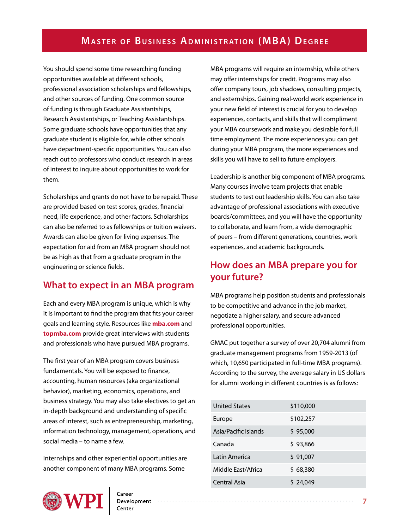You should spend some time researching funding opportunities available at different schools, professional association scholarships and fellowships, and other sources of funding. One common source of funding is through Graduate Assistantships, Research Assistantships, or Teaching Assistantships. Some graduate schools have opportunities that any graduate student is eligible for, while other schools have department-specific opportunities. You can also reach out to professors who conduct research in areas of interest to inquire about opportunities to work for them.

Scholarships and grants do not have to be repaid. These are provided based on test scores, grades, financial need, life experience, and other factors. Scholarships can also be referred to as fellowships or tuition waivers. Awards can also be given for living expenses. The expectation for aid from an MBA program should not be as high as that from a graduate program in the engineering or science fields.

### **What to expect in an MBA program**

Each and every MBA program is unique, which is why it is important to find the program that fits your career goals and learning style. Resources like **[mba.com](http://www.mba.com/us)** and **[topmba.com](http://www.topmba.com/)** provide great interviews with students and professionals who have pursued MBA programs.

The first year of an MBA program covers business fundamentals. You will be exposed to finance, accounting, human resources (aka organizational behavior), marketing, economics, operations, and business strategy. You may also take electives to get an in-depth background and understanding of specific areas of interest, such as entrepreneurship, marketing, information technology, management, operations, and social media – to name a few.

Internships and other experiential opportunities are another component of many MBA programs. Some



MBA programs will require an internship, while others may offer internships for credit. Programs may also offer company tours, job shadows, consulting projects, and externships. Gaining real-world work experience in your new field of interest is crucial for you to develop experiences, contacts, and skills that will compliment your MBA coursework and make you desirable for full time employment. The more experiences you can get during your MBA program, the more experiences and skills you will have to sell to future employers.

Leadership is another big component of MBA programs. Many courses involve team projects that enable students to test out leadership skills. You can also take advantage of professional associations with executive boards/committees, and you will have the opportunity to collaborate, and learn from, a wide demographic of peers – from different generations, countries, work experiences, and academic backgrounds.

### **How does an MBA prepare you for your future?**

MBA programs help position students and professionals to be competitive and advance in the job market, negotiate a higher salary, and secure advanced professional opportunities.

GMAC put together a survey of over 20,704 alumni from graduate management programs from 1959-2013 (of which, 10,650 participated in full-time MBA programs). According to the survey, the average salary in US dollars for alumni working in different countries is as follows:

| <b>United States</b> | \$110,000 |
|----------------------|-----------|
| Europe               | \$102,257 |
| Asia/Pacific Islands | \$95,000  |
| Canada               | \$93,866  |
| Latin America        | \$91,007  |
| Middle East/Africa   | \$68,380  |
| Central Asia         | \$24,049  |